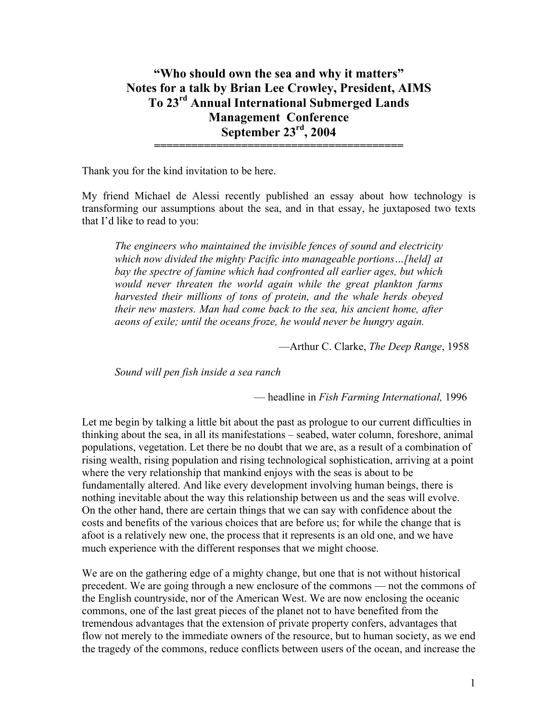**"Who should own the sea and why it matters" Notes for a talk by Brian Lee Crowley, President, AIMS To 23rd Annual International Submerged Lands Management Conference September 23rd, 2004 ========================================** 

Thank you for the kind invitation to be here.

My friend Michael de Alessi recently published an essay about how technology is transforming our assumptions about the sea, and in that essay, he juxtaposed two texts that I'd like to read to you:

*The engineers who maintained the invisible fences of sound and electricity which now divided the mighty Pacific into manageable portions…[held] at bay the spectre of famine which had confronted all earlier ages, but which would never threaten the world again while the great plankton farms harvested their millions of tons of protein, and the whale herds obeyed their new masters. Man had come back to the sea, his ancient home, after aeons of exile; until the oceans froze, he would never be hungry again.* 

—Arthur C. Clarke, *The Deep Range*, 1958

*Sound will pen fish inside a sea ranch* 

— headline in *Fish Farming International,* 1996

Let me begin by talking a little bit about the past as prologue to our current difficulties in thinking about the sea, in all its manifestations – seabed, water column, foreshore, animal populations, vegetation. Let there be no doubt that we are, as a result of a combination of rising wealth, rising population and rising technological sophistication, arriving at a point where the very relationship that mankind enjoys with the seas is about to be fundamentally altered. And like every development involving human beings, there is nothing inevitable about the way this relationship between us and the seas will evolve. On the other hand, there are certain things that we can say with confidence about the costs and benefits of the various choices that are before us; for while the change that is afoot is a relatively new one, the process that it represents is an old one, and we have much experience with the different responses that we might choose.

We are on the gathering edge of a mighty change, but one that is not without historical precedent. We are going through a new enclosure of the commons — not the commons of the English countryside, nor of the American West. We are now enclosing the oceanic commons, one of the last great pieces of the planet not to have benefited from the tremendous advantages that the extension of private property confers, advantages that flow not merely to the immediate owners of the resource, but to human society, as we end the tragedy of the commons, reduce conflicts between users of the ocean, and increase the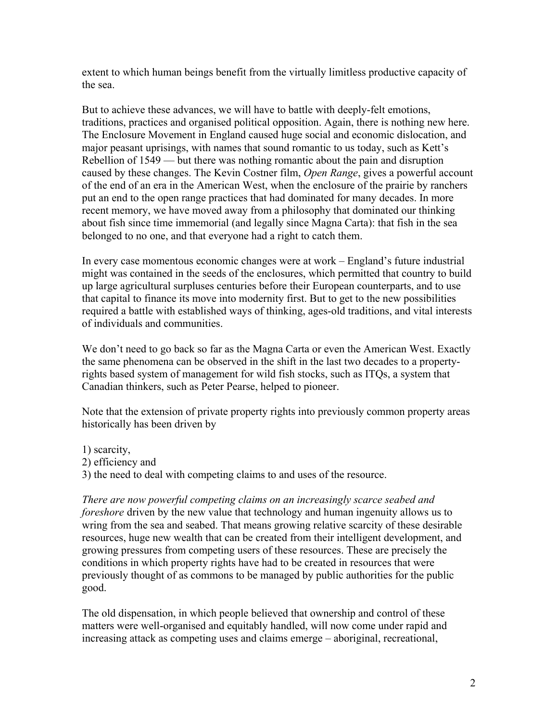extent to which human beings benefit from the virtually limitless productive capacity of the sea.

But to achieve these advances, we will have to battle with deeply-felt emotions, traditions, practices and organised political opposition. Again, there is nothing new here. The Enclosure Movement in England caused huge social and economic dislocation, and major peasant uprisings, with names that sound romantic to us today, such as Kett's Rebellion of 1549 — but there was nothing romantic about the pain and disruption caused by these changes. The Kevin Costner film, *Open Range*, gives a powerful account of the end of an era in the American West, when the enclosure of the prairie by ranchers put an end to the open range practices that had dominated for many decades. In more recent memory, we have moved away from a philosophy that dominated our thinking about fish since time immemorial (and legally since Magna Carta): that fish in the sea belonged to no one, and that everyone had a right to catch them.

In every case momentous economic changes were at work – England's future industrial might was contained in the seeds of the enclosures, which permitted that country to build up large agricultural surpluses centuries before their European counterparts, and to use that capital to finance its move into modernity first. But to get to the new possibilities required a battle with established ways of thinking, ages-old traditions, and vital interests of individuals and communities.

We don't need to go back so far as the Magna Carta or even the American West. Exactly the same phenomena can be observed in the shift in the last two decades to a propertyrights based system of management for wild fish stocks, such as ITQs, a system that Canadian thinkers, such as Peter Pearse, helped to pioneer.

Note that the extension of private property rights into previously common property areas historically has been driven by

- 1) scarcity,
- 2) efficiency and
- 3) the need to deal with competing claims to and uses of the resource.

*There are now powerful competing claims on an increasingly scarce seabed and foreshore* driven by the new value that technology and human ingenuity allows us to wring from the sea and seabed. That means growing relative scarcity of these desirable resources, huge new wealth that can be created from their intelligent development, and growing pressures from competing users of these resources. These are precisely the conditions in which property rights have had to be created in resources that were previously thought of as commons to be managed by public authorities for the public good.

The old dispensation, in which people believed that ownership and control of these matters were well-organised and equitably handled, will now come under rapid and increasing attack as competing uses and claims emerge – aboriginal, recreational,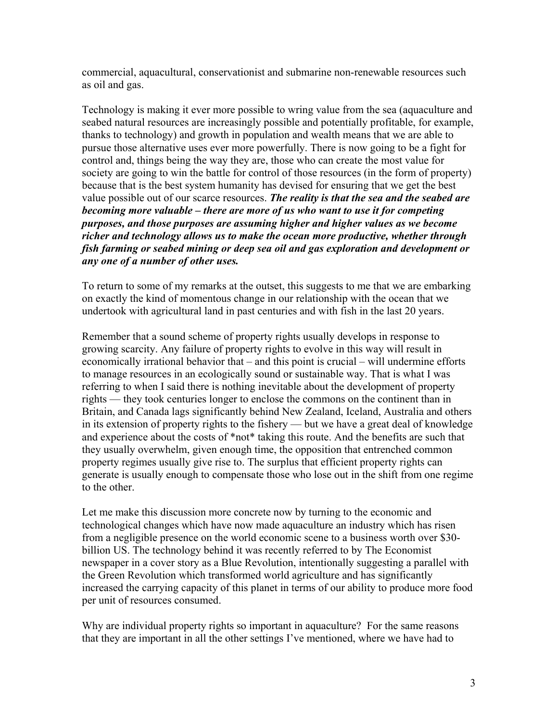commercial, aquacultural, conservationist and submarine non-renewable resources such as oil and gas.

Technology is making it ever more possible to wring value from the sea (aquaculture and seabed natural resources are increasingly possible and potentially profitable, for example, thanks to technology) and growth in population and wealth means that we are able to pursue those alternative uses ever more powerfully. There is now going to be a fight for control and, things being the way they are, those who can create the most value for society are going to win the battle for control of those resources (in the form of property) because that is the best system humanity has devised for ensuring that we get the best value possible out of our scarce resources. *The reality is that the sea and the seabed are becoming more valuable – there are more of us who want to use it for competing purposes, and those purposes are assuming higher and higher values as we become richer and technology allows us to make the ocean more productive, whether through fish farming or seabed mining or deep sea oil and gas exploration and development or any one of a number of other uses.*

To return to some of my remarks at the outset, this suggests to me that we are embarking on exactly the kind of momentous change in our relationship with the ocean that we undertook with agricultural land in past centuries and with fish in the last 20 years.

Remember that a sound scheme of property rights usually develops in response to growing scarcity. Any failure of property rights to evolve in this way will result in economically irrational behavior that – and this point is crucial – will undermine efforts to manage resources in an ecologically sound or sustainable way. That is what I was referring to when I said there is nothing inevitable about the development of property rights — they took centuries longer to enclose the commons on the continent than in Britain, and Canada lags significantly behind New Zealand, Iceland, Australia and others in its extension of property rights to the fishery — but we have a great deal of knowledge and experience about the costs of \*not\* taking this route. And the benefits are such that they usually overwhelm, given enough time, the opposition that entrenched common property regimes usually give rise to. The surplus that efficient property rights can generate is usually enough to compensate those who lose out in the shift from one regime to the other.

Let me make this discussion more concrete now by turning to the economic and technological changes which have now made aquaculture an industry which has risen from a negligible presence on the world economic scene to a business worth over \$30 billion US. The technology behind it was recently referred to by The Economist newspaper in a cover story as a Blue Revolution, intentionally suggesting a parallel with the Green Revolution which transformed world agriculture and has significantly increased the carrying capacity of this planet in terms of our ability to produce more food per unit of resources consumed.

Why are individual property rights so important in aquaculture? For the same reasons that they are important in all the other settings I've mentioned, where we have had to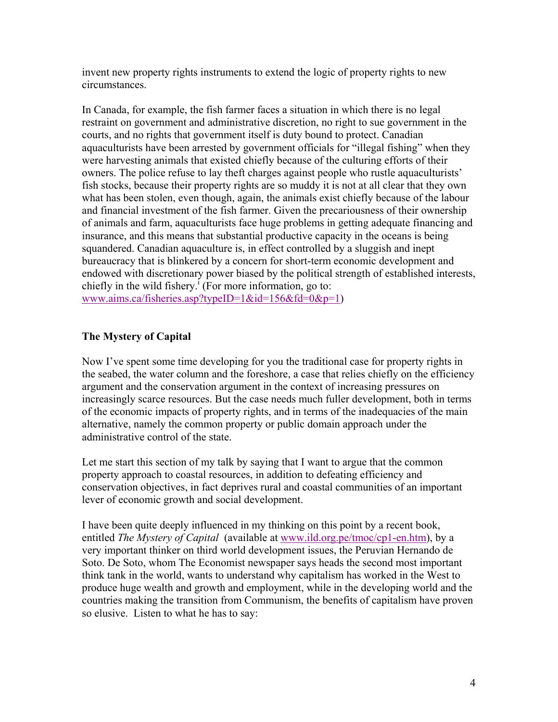invent new property rights instruments to extend the logic of property rights to new circumstances.

In Canada, for example, the fish farmer faces a situation in which there is no legal restraint on government and administrative discretion, no right to sue government in the courts, and no rights that government itself is duty bound to protect. Canadian aquaculturists have been arrested by government officials for "illegal fishing" when they were harvesting animals that existed chiefly because of the culturing efforts of their owners. The police refuse to lay theft charges against people who rustle aquaculturists' fish stocks, because their property rights are so muddy it is not at all clear that they own what has been stolen, even though, again, the animals exist chiefly because of the labour and financial investment of the fish farmer. Given the precariousness of their ownership of animals and farm, aquaculturists face huge problems in getting adequate financing and insurance, and this means that substantial productive capacity in the oceans is being squandered. Canadian aquaculture is, in effect controlled by a sluggish and inept bureaucracy that is blinkered by a concern for short-term economic development and endowed with discretionary power biased by the political strength of established interests, chiefly in the wild fishery.<sup>I</sup> (For more information, go to: www.aims.ca/fisheries.asp?typeID=1&id=156&fd=0&p=1)

## **The Mystery of Capital**

Now I've spent some time developing for you the traditional case for property rights in the seabed, the water column and the foreshore, a case that relies chiefly on the efficiency argument and the conservation argument in the context of increasing pressures on increasingly scarce resources. But the case needs much fuller development, both in terms of the economic impacts of property rights, and in terms of the inadequacies of the main alternative, namely the common property or public domain approach under the administrative control of the state.

Let me start this section of my talk by saying that I want to argue that the common property approach to coastal resources, in addition to defeating efficiency and conservation objectives, in fact deprives rural and coastal communities of an important lever of economic growth and social development.

I have been quite deeply influenced in my thinking on this point by a recent book, entitled *The Mystery of Capital* (available at www.ild.org.pe/tmoc/cp1-en.htm), by a very important thinker on third world development issues, the Peruvian Hernando de Soto. De Soto, whom The Economist newspaper says heads the second most important think tank in the world, wants to understand why capitalism has worked in the West to produce huge wealth and growth and employment, while in the developing world and the countries making the transition from Communism, the benefits of capitalism have proven so elusive. Listen to what he has to say: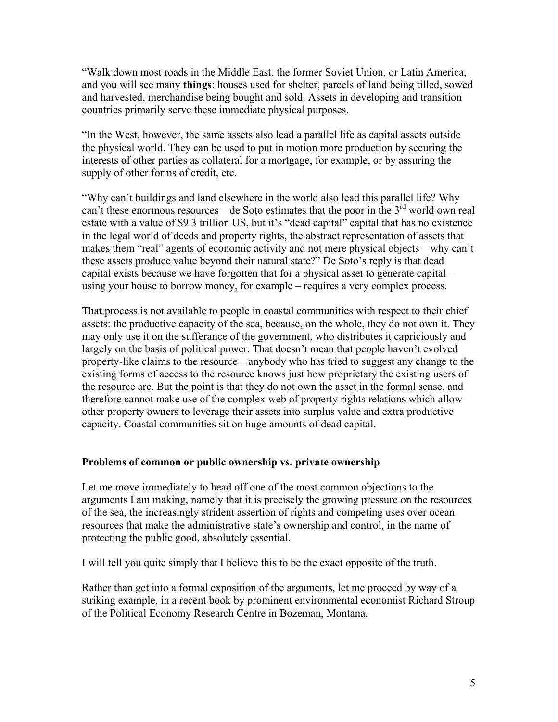"Walk down most roads in the Middle East, the former Soviet Union, or Latin America, and you will see many **things**: houses used for shelter, parcels of land being tilled, sowed and harvested, merchandise being bought and sold. Assets in developing and transition countries primarily serve these immediate physical purposes.

"In the West, however, the same assets also lead a parallel life as capital assets outside the physical world. They can be used to put in motion more production by securing the interests of other parties as collateral for a mortgage, for example, or by assuring the supply of other forms of credit, etc.

"Why can't buildings and land elsewhere in the world also lead this parallel life? Why can't these enormous resources – de Soto estimates that the poor in the  $3<sup>rd</sup>$  world own real estate with a value of \$9.3 trillion US, but it's "dead capital" capital that has no existence in the legal world of deeds and property rights, the abstract representation of assets that makes them "real" agents of economic activity and not mere physical objects – why can't these assets produce value beyond their natural state?" De Soto's reply is that dead capital exists because we have forgotten that for a physical asset to generate capital – using your house to borrow money, for example – requires a very complex process.

That process is not available to people in coastal communities with respect to their chief assets: the productive capacity of the sea, because, on the whole, they do not own it. They may only use it on the sufferance of the government, who distributes it capriciously and largely on the basis of political power. That doesn't mean that people haven't evolved property-like claims to the resource – anybody who has tried to suggest any change to the existing forms of access to the resource knows just how proprietary the existing users of the resource are. But the point is that they do not own the asset in the formal sense, and therefore cannot make use of the complex web of property rights relations which allow other property owners to leverage their assets into surplus value and extra productive capacity. Coastal communities sit on huge amounts of dead capital.

## **Problems of common or public ownership vs. private ownership**

Let me move immediately to head off one of the most common objections to the arguments I am making, namely that it is precisely the growing pressure on the resources of the sea, the increasingly strident assertion of rights and competing uses over ocean resources that make the administrative state's ownership and control, in the name of protecting the public good, absolutely essential.

I will tell you quite simply that I believe this to be the exact opposite of the truth.

Rather than get into a formal exposition of the arguments, let me proceed by way of a striking example, in a recent book by prominent environmental economist Richard Stroup of the Political Economy Research Centre in Bozeman, Montana.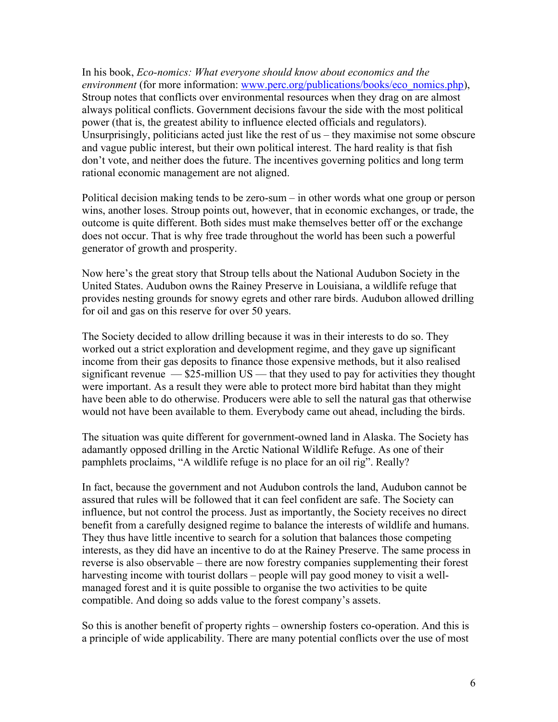In his book, *Eco-nomics: What everyone should know about economics and the environment* (for more information: www.perc.org/publications/books/eco\_nomics.php), Stroup notes that conflicts over environmental resources when they drag on are almost always political conflicts. Government decisions favour the side with the most political power (that is, the greatest ability to influence elected officials and regulators). Unsurprisingly, politicians acted just like the rest of us – they maximise not some obscure and vague public interest, but their own political interest. The hard reality is that fish don't vote, and neither does the future. The incentives governing politics and long term rational economic management are not aligned.

Political decision making tends to be zero-sum – in other words what one group or person wins, another loses. Stroup points out, however, that in economic exchanges, or trade, the outcome is quite different. Both sides must make themselves better off or the exchange does not occur. That is why free trade throughout the world has been such a powerful generator of growth and prosperity.

Now here's the great story that Stroup tells about the National Audubon Society in the United States. Audubon owns the Rainey Preserve in Louisiana, a wildlife refuge that provides nesting grounds for snowy egrets and other rare birds. Audubon allowed drilling for oil and gas on this reserve for over 50 years.

The Society decided to allow drilling because it was in their interests to do so. They worked out a strict exploration and development regime, and they gave up significant income from their gas deposits to finance those expensive methods, but it also realised significant revenue  $-$  \$25-million US — that they used to pay for activities they thought were important. As a result they were able to protect more bird habitat than they might have been able to do otherwise. Producers were able to sell the natural gas that otherwise would not have been available to them. Everybody came out ahead, including the birds.

The situation was quite different for government-owned land in Alaska. The Society has adamantly opposed drilling in the Arctic National Wildlife Refuge. As one of their pamphlets proclaims, "A wildlife refuge is no place for an oil rig". Really?

In fact, because the government and not Audubon controls the land, Audubon cannot be assured that rules will be followed that it can feel confident are safe. The Society can influence, but not control the process. Just as importantly, the Society receives no direct benefit from a carefully designed regime to balance the interests of wildlife and humans. They thus have little incentive to search for a solution that balances those competing interests, as they did have an incentive to do at the Rainey Preserve. The same process in reverse is also observable – there are now forestry companies supplementing their forest harvesting income with tourist dollars – people will pay good money to visit a wellmanaged forest and it is quite possible to organise the two activities to be quite compatible. And doing so adds value to the forest company's assets.

So this is another benefit of property rights – ownership fosters co-operation. And this is a principle of wide applicability. There are many potential conflicts over the use of most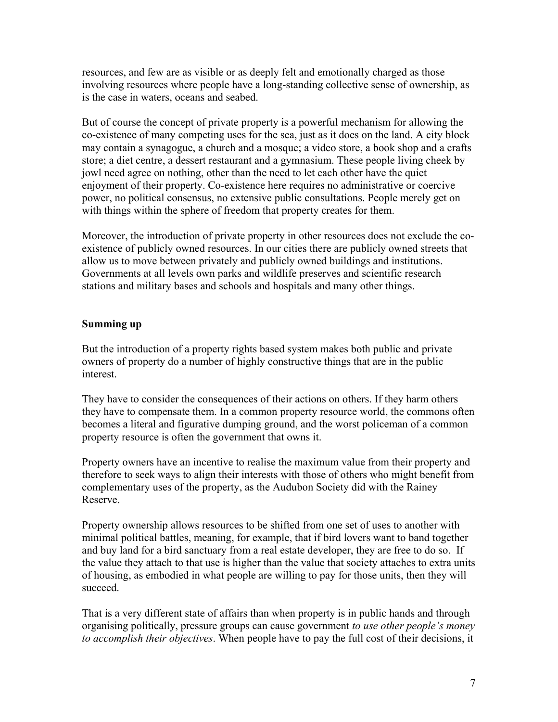resources, and few are as visible or as deeply felt and emotionally charged as those involving resources where people have a long-standing collective sense of ownership, as is the case in waters, oceans and seabed.

But of course the concept of private property is a powerful mechanism for allowing the co-existence of many competing uses for the sea, just as it does on the land. A city block may contain a synagogue, a church and a mosque; a video store, a book shop and a crafts store; a diet centre, a dessert restaurant and a gymnasium. These people living cheek by jowl need agree on nothing, other than the need to let each other have the quiet enjoyment of their property. Co-existence here requires no administrative or coercive power, no political consensus, no extensive public consultations. People merely get on with things within the sphere of freedom that property creates for them.

Moreover, the introduction of private property in other resources does not exclude the coexistence of publicly owned resources. In our cities there are publicly owned streets that allow us to move between privately and publicly owned buildings and institutions. Governments at all levels own parks and wildlife preserves and scientific research stations and military bases and schools and hospitals and many other things.

## **Summing up**

But the introduction of a property rights based system makes both public and private owners of property do a number of highly constructive things that are in the public interest.

They have to consider the consequences of their actions on others. If they harm others they have to compensate them. In a common property resource world, the commons often becomes a literal and figurative dumping ground, and the worst policeman of a common property resource is often the government that owns it.

Property owners have an incentive to realise the maximum value from their property and therefore to seek ways to align their interests with those of others who might benefit from complementary uses of the property, as the Audubon Society did with the Rainey Reserve.

Property ownership allows resources to be shifted from one set of uses to another with minimal political battles, meaning, for example, that if bird lovers want to band together and buy land for a bird sanctuary from a real estate developer, they are free to do so. If the value they attach to that use is higher than the value that society attaches to extra units of housing, as embodied in what people are willing to pay for those units, then they will succeed.

That is a very different state of affairs than when property is in public hands and through organising politically, pressure groups can cause government *to use other people's money to accomplish their objectives*. When people have to pay the full cost of their decisions, it